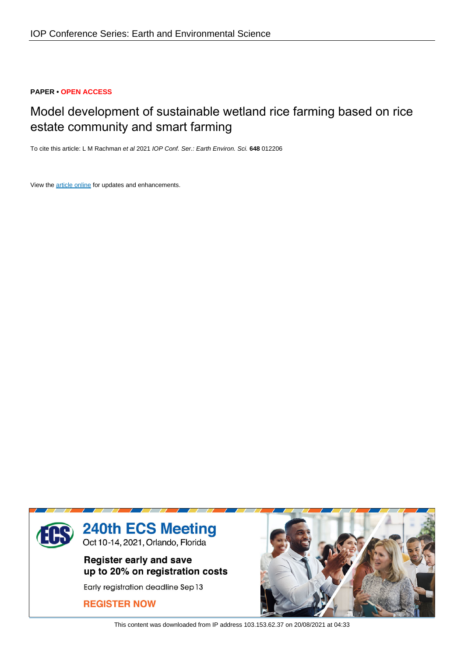# **PAPER • OPEN ACCESS**

# Model development of sustainable wetland rice farming based on rice estate community and smart farming

To cite this article: L M Rachman et al 2021 IOP Conf. Ser.: Earth Environ. Sci. **648** 012206

View the [article online](https://doi.org/10.1088/1755-1315/648/1/012206) for updates and enhancements.



This content was downloaded from IP address 103.153.62.37 on 20/08/2021 at 04:33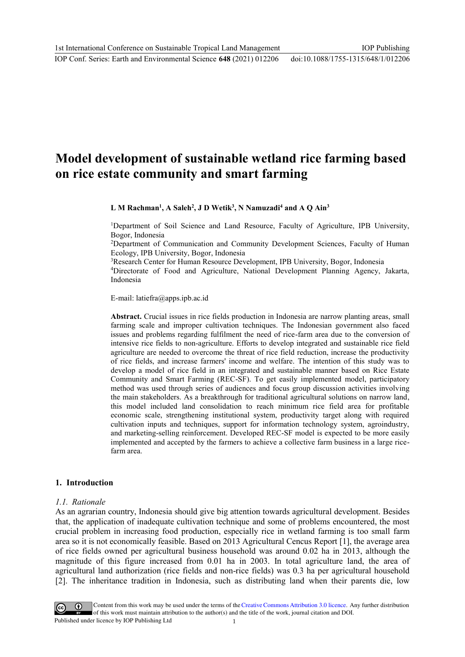### IOP Conf. Series: Earth and Environmental Science **648** (2021) 012206

# **Model development of sustainable wetland rice farming based on rice estate community and smart farming**

**L M Rachman<sup>1</sup> , A Saleh<sup>2</sup> , J D Wetik<sup>3</sup> , N Namuzadi<sup>4</sup> and A Q Ain<sup>3</sup>**

<sup>1</sup>Department of Soil Science and Land Resource, Faculty of Agriculture, IPB University, Bogor, Indonesia

<sup>2</sup>Department of Communication and Community Development Sciences, Faculty of Human Ecology, IPB University, Bogor, Indonesia

<sup>3</sup>Research Center for Human Resource Development, IPB University, Bogor, Indonesia

<sup>4</sup>Directorate of Food and Agriculture, National Development Planning Agency, Jakarta, Indonesia

E-mail: latiefra@apps.ipb.ac.id

**Abstract.** Crucial issues in rice fields production in Indonesia are narrow planting areas, small farming scale and improper cultivation techniques. The Indonesian government also faced issues and problems regarding fulfilment the need of rice-farm area due to the conversion of intensive rice fields to non-agriculture. Efforts to develop integrated and sustainable rice field agriculture are needed to overcome the threat of rice field reduction, increase the productivity of rice fields, and increase farmers' income and welfare. The intention of this study was to develop a model of rice field in an integrated and sustainable manner based on Rice Estate Community and Smart Farming (REC-SF). To get easily implemented model, participatory method was used through series of audiences and focus group discussion activities involving the main stakeholders. As a breakthrough for traditional agricultural solutions on narrow land, this model included land consolidation to reach minimum rice field area for profitable economic scale, strengthening institutional system, productivity target along with required cultivation inputs and techniques, support for information technology system, agroindustry, and marketing-selling reinforcement. Developed REC-SF model is expected to be more easily implemented and accepted by the farmers to achieve a collective farm business in a large ricefarm area.

# **1. Introduction**

#### *1.1. Rationale*

As an agrarian country, Indonesia should give big attention towards agricultural development. Besides that, the application of inadequate cultivation technique and some of problems encountered, the most crucial problem in increasing food production, especially rice in wetland farming is too small farm area so it is not economically feasible. Based on 2013 Agricultural Cencus Report [1], the average area of rice fields owned per agricultural business household was around 0.02 ha in 2013, although the magnitude of this figure increased from 0.01 ha in 2003. In total agriculture land, the area of agricultural land authorization (rice fields and non-rice fields) was 0.3 ha per agricultural household [2]. The inheritance tradition in Indonesia, such as distributing land when their parents die, low

Content from this work may be used under the terms of the Creative Commons Attribution 3.0 licence. Any further distribution of this work must maintain attribution to the author(s) and the title of the work, journal citation and DOI. Published under licence by IOP Publishing Ltd 1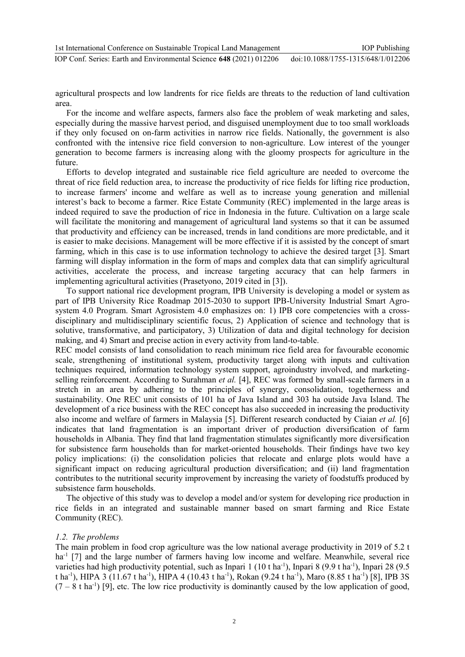agricultural prospects and low landrents for rice fields are threats to the reduction of land cultivation area.

For the income and welfare aspects, farmers also face the problem of weak marketing and sales, especially during the massive harvest period, and disguised unemployment due to too small workloads if they only focused on on-farm activities in narrow rice fields. Nationally, the government is also confronted with the intensive rice field conversion to non-agriculture. Low interest of the younger generation to become farmers is increasing along with the gloomy prospects for agriculture in the future.

Efforts to develop integrated and sustainable rice field agriculture are needed to overcome the threat of rice field reduction area, to increase the productivity of rice fields for lifting rice production, to increase farmers' income and welfare as well as to increase young generation and millenial interest's back to become a farmer. Rice Estate Community (REC) implemented in the large areas is indeed required to save the production of rice in Indonesia in the future. Cultivation on a large scale will facilitate the monitoring and management of agricultural land systems so that it can be assumed that productivity and effciency can be increased, trends in land conditions are more predictable, and it is easier to make decisions. Management will be more effective if it is assisted by the concept of smart farming, which in this case is to use information technology to achieve the desired target [3]. Smart farming will display information in the form of maps and complex data that can simplify agricultural activities, accelerate the process, and increase targeting accuracy that can help farmers in implementing agricultural activities (Prasetyono, 2019 cited in [3]).

To support national rice development program, IPB University is developing a model or system as part of IPB University Rice Roadmap 2015-2030 to support IPB-University Industrial Smart Agrosystem 4.0 Program. Smart Agrosistem 4.0 emphasizes on: 1) IPB core competencies with a crossdisciplinary and multidisciplinary scientific focus, 2) Application of science and technology that is solutive, transformative, and participatory, 3) Utilization of data and digital technology for decision making, and 4) Smart and precise action in every activity from land-to-table.

REC model consists of land consolidation to reach minimum rice field area for favourable economic scale, strengthening of institutional system, productivity target along with inputs and cultivation techniques required, information technology system support, agroindustry involved, and marketingselling reinforcement. According to Surahman *et al.* [4], REC was formed by small-scale farmers in a stretch in an area by adhering to the principles of synergy, consolidation, togetherness and sustainability. One REC unit consists of 101 ha of Java Island and 303 ha outside Java Island. The development of a rice business with the REC concept has also succeeded in increasing the productivity also income and welfare of farmers in Malaysia [5]. Different research conducted by Ciaian *et al.* [6] indicates that land fragmentation is an important driver of production diversification of farm households in Albania. They find that land fragmentation stimulates significantly more diversification for subsistence farm households than for market-oriented households. Their findings have two key policy implications: (i) the consolidation policies that relocate and enlarge plots would have a significant impact on reducing agricultural production diversification; and (ii) land fragmentation contributes to the nutritional security improvement by increasing the variety of foodstuffs produced by subsistence farm households.

The objective of this study was to develop a model and/or system for developing rice production in rice fields in an integrated and sustainable manner based on smart farming and Rice Estate Community (REC).

# *1.2. The problems*

The main problem in food crop agriculture was the low national average productivity in 2019 of 5.2 t ha<sup>-1</sup> [7] and the large number of farmers having low income and welfare. Meanwhile, several rice varieties had high productivity potential, such as Inpari 1 (10 t ha<sup>-1</sup>), Inpari 8 (9.9 t ha<sup>-1</sup>), Inpari 28 (9.5 t ha<sup>-1</sup>), HIPA 3 (11.67 t ha<sup>-1</sup>), HIPA 4 (10.43 t ha<sup>-1</sup>), Rokan (9.24 t ha<sup>-1</sup>), Maro (8.85 t ha<sup>-1</sup>) [8], IPB 3S  $(7 - 8$  t ha<sup>-1</sup>) [9], etc. The low rice productivity is dominantly caused by the low application of good,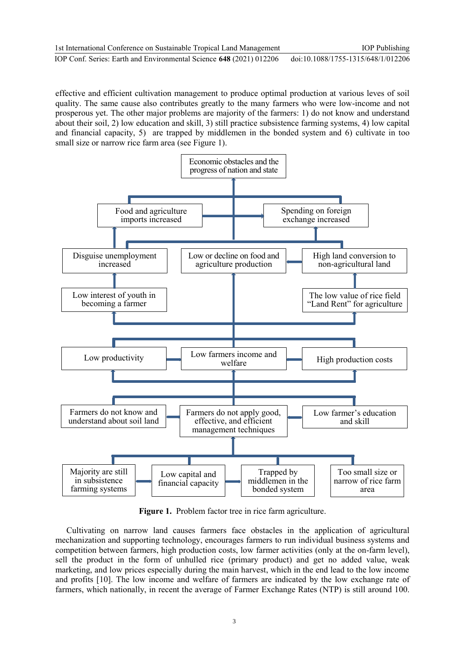effective and efficient cultivation management to produce optimal production at various leves of soil quality. The same cause also contributes greatly to the many farmers who were low-income and not prosperous yet. The other major problems are majority of the farmers: 1) do not know and understand about their soil, 2) low education and skill, 3) still practice subsistence farming systems, 4) low capital and financial capacity, 5) are trapped by middlemen in the bonded system and 6) cultivate in too small size or narrow rice farm area (see Figure 1).



**Figure 1.** Problem factor tree in rice farm agriculture.

Cultivating on narrow land causes farmers face obstacles in the application of agricultural mechanization and supporting technology, encourages farmers to run individual business systems and competition between farmers, high production costs, low farmer activities (only at the on-farm level), sell the product in the form of unhulled rice (primary product) and get no added value, weak marketing, and low prices especially during the main harvest, which in the end lead to the low income and profits [10]. The low income and welfare of farmers are indicated by the low exchange rate of farmers, which nationally, in recent the average of Farmer Exchange Rates (NTP) is still around 100.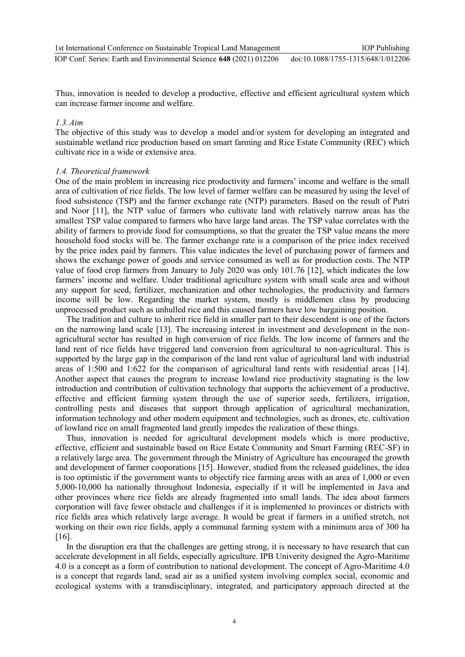Thus, innovation is needed to develop a productive, effective and efficient agricultural system which can increase farmer income and welfare.

### *1.3.Aim*

The objective of this study was to develop a model and/or system for developing an integrated and sustainable wetland rice production based on smart farming and Rice Estate Community (REC) which cultivate rice in a wide or extensive area.

### *1.4. Theoretical framework*

One of the main problem in increasing rice productivity and farmers' income and welfare is the small area of cultivation of rice fields. The low level of farmer welfare can be measured by using the level of food subsistence (TSP) and the farmer exchange rate (NTP) parameters. Based on the result of Putri and Noor [11], the NTP value of farmers who cultivate land with relatively narrow areas has the smallest TSP value compared to farmers who have large land areas. The TSP value correlates with the ability of farmers to provide food for comsumptions, so that the greater the TSP value means the more household food stocks will be. The farmer exchange rate is a comparison of the price index received by the price index paid by farmers. This value indicates the level of purchasing power of farmers and shows the exchange power of goods and service consumed as well as for production costs. The NTP value of food crop farmers from January to July 2020 was only 101.76 [12], which indicates the low farmers' income and welfare. Under traditional agriculture system with small scale area and without any support for seed, fertilizer, mechanization and other technologies, the productivity and farmers income will be low. Regarding the market system, mostly is middlemen class by producing unprocessed product such as unhulled rice and this caused farmers have low bargaining position.

The tradition and culture to inherit rice field in smaller part to their descendent is one of the factors on the narrowing land scale [13]. The increasing interest in investment and development in the nonagricultural sector has resulted in high conversion of rice fields. The low income of farmers and the land rent of rice fields have triggered land conversion from agricultural to non-agricultural. This is supported by the large gap in the comparison of the land rent value of agricultural land with industrial areas of 1:500 and 1:622 for the comparison of agricultural land rents with residential areas [14]. Another aspect that causes the program to increase lowland rice productivity stagnating is the low introduction and contribution of cultivation technology that supports the achievement of a productive, effective and efficient farming system through the use of superior seeds, fertilizers, irrigation, controlling pests and diseases that support through application of agricultural mechanization, information technology and other modern equipment and technologies, such as drones, etc. cultivation of lowland rice on small fragmented land greatly impedes the realization of these things.

Thus, innovation is needed for agricultural development models which is more productive, effective, efficient and sustainable based on Rice Estate Community and Smart Farming (REC-SF) in a relatively large area. The government through the Ministry of Agriculture has encouraged the growth and development of farmer cooporations [15]. However, studied from the released guidelines, the idea is too optimistic if the government wants to objectify rice farming areas with an area of 1,000 or even 5,000-10,000 ha nationally throughout Indonesia, especially if it will be implemented in Java and other provinces where rice fields are already fragmented into small lands. The idea about farmers corporation will fave fewer obstacle and challenges if it is implemented to provinces or districts with rice fields area which relatively large average. It would be great if farmers in a unified stretch, not working on their own rice fields, apply a communal farming system with a minimum area of 300 ha [16].

In the disruption era that the challenges are getting strong, it is necessary to have research that can accelerate development in all fields, especially agriculture. IPB Univerity designed the Agro-Maritime 4.0 is a concept as a form of contribution to national development. The concept of Agro-Maritime 4.0 is a concept that regards land, sead air as a unified system involving complex social, economic and ecological systems with a transdisciplinary, integrated, and participatory approach directed at the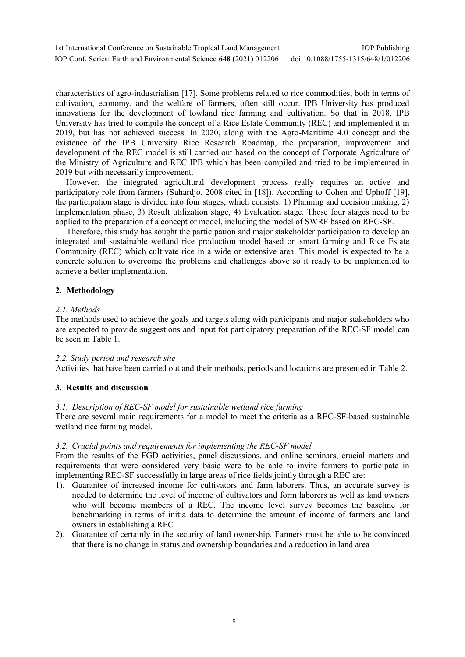characteristics of agro-industrialism [17]. Some problems related to rice commodities, both in terms of cultivation, economy, and the welfare of farmers, often still occur. IPB University has produced innovations for the development of lowland rice farming and cultivation. So that in 2018, IPB University has tried to compile the concept of a Rice Estate Community (REC) and implemented it in 2019, but has not achieved success. In 2020, along with the Agro-Maritime 4.0 concept and the existence of the IPB University Rice Research Roadmap, the preparation, improvement and development of the REC model is still carried out based on the concept of Corporate Agriculture of the Ministry of Agriculture and REC IPB which has been compiled and tried to be implemented in 2019 but with necessarily improvement.

 However, the integrated agricultural development process really requires an active and participatory role from farmers (Suhardjo, 2008 cited in [18]). According to Cohen and Uphoff [19], the participation stage is divided into four stages, which consists: 1) Planning and decision making, 2) Implementation phase, 3) Result utilization stage, 4) Evaluation stage. These four stages need to be applied to the preparation of a concept or model, including the model of SWRF based on REC-SF.

Therefore, this study has sought the participation and major stakeholder participation to develop an integrated and sustainable wetland rice production model based on smart farming and Rice Estate Community (REC) which cultivate rice in a wide or extensive area. This model is expected to be a concrete solution to overcome the problems and challenges above so it ready to be implemented to achieve a better implementation.

# **2. Methodology**

# *2.1. Methods*

The methods used to achieve the goals and targets along with participants and major stakeholders who are expected to provide suggestions and input fot participatory preparation of the REC-SF model can be seen in Table 1.

# *2.2. Study period and research site*

Activities that have been carried out and their methods, periods and locations are presented in Table 2.

# **3. Results and discussion**

# *3.1. Description of REC-SF model for sustainable wetland rice farming*

There are several main requirements for a model to meet the criteria as a REC-SF-based sustainable wetland rice farming model.

# *3.2. Crucial points and requirements for implementing the REC-SF model*

From the results of the FGD activities, panel discussions, and online seminars, crucial matters and requirements that were considered very basic were to be able to invite farmers to participate in implementing REC-SF successfully in large areas of rice fields jointly through a REC are:

- 1). Guarantee of increased income for cultivators and farm laborers. Thus, an accurate survey is needed to determine the level of income of cultivators and form laborers as well as land owners who will become members of a REC. The income level survey becomes the baseline for benchmarking in terms of initia data to determine the amount of income of farmers and land owners in establishing a REC
- 2). Guarantee of certainly in the security of land ownership. Farmers must be able to be convinced that there is no change in status and ownership boundaries and a reduction in land area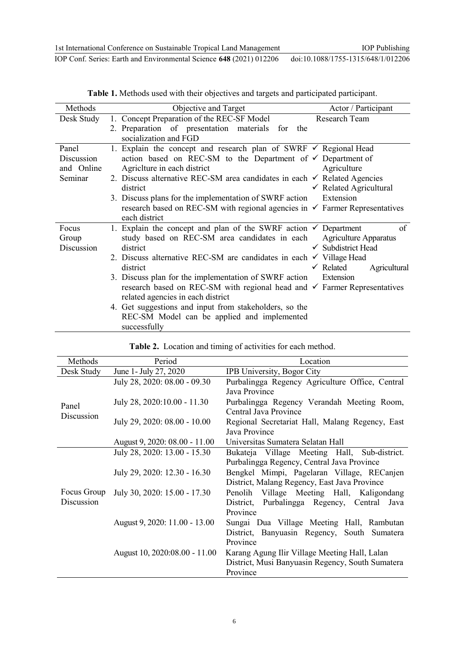| Methods    | Objective and Target                                                                   | Actor / Participant                  |
|------------|----------------------------------------------------------------------------------------|--------------------------------------|
| Desk Study | 1. Concept Preparation of the REC-SF Model                                             | Research Team                        |
|            | 2. Preparation of presentation materials for the                                       |                                      |
|            | socialization and FGD                                                                  |                                      |
| Panel      | 1. Explain the concept and research plan of SWRF $\checkmark$ Regional Head            |                                      |
| Discussion | action based on REC-SM to the Department of $\checkmark$ Department of                 |                                      |
| and Online | Agriciture in each district                                                            | Agriculture                          |
| Seminar    | 2. Discuss alternative REC-SM area candidates in each $\checkmark$ Related Agencies    |                                      |
|            | district                                                                               | $\checkmark$ Related Agricultural    |
|            | 3. Discuss plans for the implementation of SWRF action                                 | Extension                            |
|            | research based on REC-SM with regional agencies in $\checkmark$ Farmer Representatives |                                      |
|            | each district                                                                          |                                      |
| Focus      | 1. Explain the concept and plan of the SWRF action $\checkmark$ Department             | of                                   |
| Group      | study based on REC-SM area candidates in each                                          | <b>Agriculture Apparatus</b>         |
| Discussion | district                                                                               | $\checkmark$ Subdistrict Head        |
|            | 2. Discuss alternative REC-SM are candidates in each $\checkmark$ Village Head         |                                      |
|            | district                                                                               | $\checkmark$ Related<br>Agricultural |
|            | 3. Discuss plan for the implementation of SWRF action                                  | Extension                            |
|            | research based on REC-SM with regional head and $\checkmark$ Farmer Representatives    |                                      |
|            | related agencies in each district                                                      |                                      |
|            | 4. Get suggestions and input from stakeholders, so the                                 |                                      |
|            | REC-SM Model can be applied and implemented                                            |                                      |
|            | successfully                                                                           |                                      |

| Table 1. Methods used with their objectives and targets and participated participant. |
|---------------------------------------------------------------------------------------|
|---------------------------------------------------------------------------------------|

**Table 2.** Location and timing of activities for each method.

| Methods                   | Period                        | Location                                          |  |
|---------------------------|-------------------------------|---------------------------------------------------|--|
| Desk Study                | June 1- July 27, 2020         | <b>IPB University, Bogor City</b>                 |  |
| Panel<br>Discussion       | July 28, 2020: 08.00 - 09.30  | Purbalingga Regency Agriculture Office, Central   |  |
|                           |                               | Java Province                                     |  |
|                           | July 28, 2020:10.00 - 11.30   | Purbalingga Regency Verandah Meeting Room,        |  |
|                           |                               | Central Java Province                             |  |
|                           | July 29, 2020: 08.00 - 10.00  | Regional Secretariat Hall, Malang Regency, East   |  |
|                           |                               | Java Province                                     |  |
|                           | August 9, 2020: 08.00 - 11.00 | Universitas Sumatera Selatan Hall                 |  |
| Focus Group<br>Discussion | July 28, 2020: 13.00 - 15.30  | Bukateja Village Meeting Hall, Sub-district.      |  |
|                           |                               | Purbalingga Regency, Central Java Province        |  |
|                           | July 29, 2020: 12.30 - 16.30  | Bengkel Mimpi, Pagelaran Village, RECanjen        |  |
|                           |                               | District, Malang Regency, East Java Province      |  |
|                           | July 30, 2020: 15.00 - 17.30  | Village Meeting Hall, Kaligondang<br>Penolih      |  |
|                           |                               | Purbalingga Regency, Central<br>District,<br>Java |  |
|                           |                               | Province                                          |  |
|                           | August 9, 2020: 11.00 - 13.00 | Sungai Dua Village Meeting Hall, Rambutan         |  |
|                           |                               | District, Banyuasin Regency, South Sumatera       |  |
|                           |                               | Province                                          |  |
|                           | August 10, 2020:08.00 - 11.00 | Karang Agung Ilir Village Meeting Hall, Lalan     |  |
|                           |                               | District, Musi Banyuasin Regency, South Sumatera  |  |
|                           |                               | Province                                          |  |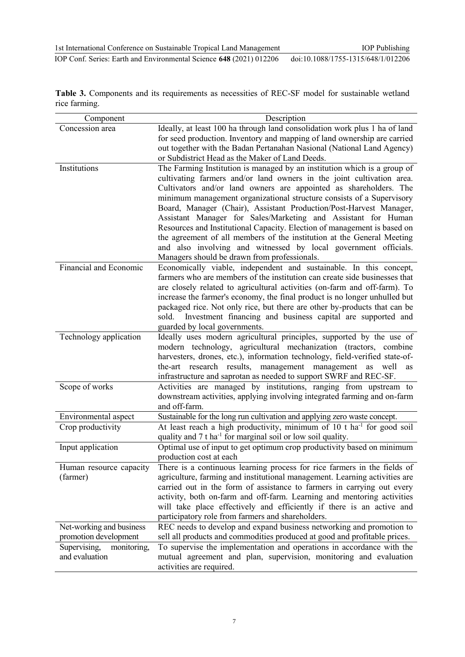**Table 3.** Components and its requirements as necessities of REC-SF model for sustainable wetland rice farming.

| Component                   | Description                                                                        |
|-----------------------------|------------------------------------------------------------------------------------|
| Concession area             | Ideally, at least 100 ha through land consolidation work plus 1 ha of land         |
|                             | for seed production. Inventory and mapping of land ownership are carried           |
|                             | out together with the Badan Pertanahan Nasional (National Land Agency)             |
|                             | or Subdistrict Head as the Maker of Land Deeds.                                    |
| Institutions                | The Farming Institution is managed by an institution which is a group of           |
|                             | cultivating farmers and/or land owners in the joint cultivation area.              |
|                             | Cultivators and/or land owners are appointed as shareholders. The                  |
|                             | minimum management organizational structure consists of a Supervisory              |
|                             | Board, Manager (Chair), Assistant Production/Post-Harvest Manager,                 |
|                             | Assistant Manager for Sales/Marketing and Assistant for Human                      |
|                             | Resources and Institutional Capacity. Election of management is based on           |
|                             | the agreement of all members of the institution at the General Meeting             |
|                             | and also involving and witnessed by local government officials.                    |
|                             | Managers should be drawn from professionals.                                       |
| Financial and Economic      | Economically viable, independent and sustainable. In this concept,                 |
|                             | farmers who are members of the institution can create side businesses that         |
|                             | are closely related to agricultural activities (on-farm and off-farm). To          |
|                             | increase the farmer's economy, the final product is no longer unhulled but         |
|                             | packaged rice. Not only rice, but there are other by-products that can be          |
|                             | Investment financing and business capital are supported and<br>sold.               |
|                             | guarded by local governments.                                                      |
| Technology application      | Ideally uses modern agricultural principles, supported by the use of               |
|                             | modern technology, agricultural mechanization (tractors, combine                   |
|                             | harvesters, drones, etc.), information technology, field-verified state-of-        |
|                             | research results, management<br>management<br>the-art<br>well<br>as<br>as          |
|                             | infrastructure and saprotan as needed to support SWRF and REC-SF.                  |
| Scope of works              | Activities are managed by institutions, ranging from upstream to                   |
|                             | downstream activities, applying involving integrated farming and on-farm           |
|                             | and off-farm.                                                                      |
| Environmental aspect        | Sustainable for the long run cultivation and applying zero waste concept.          |
| Crop productivity           | At least reach a high productivity, minimum of 10 t ha <sup>-1</sup> for good soil |
|                             | quality and 7 t ha <sup>-1</sup> for marginal soil or low soil quality.            |
| Input application           | Optimal use of input to get optimum crop productivity based on minimum             |
|                             | production cost at each                                                            |
| Human resource capacity     | There is a continuous learning process for rice farmers in the fields of           |
| (farmer)                    | agriculture, farming and institutional management. Learning activities are         |
|                             | carried out in the form of assistance to farmers in carrying out every             |
|                             | activity, both on-farm and off-farm. Learning and mentoring activities             |
|                             | will take place effectively and efficiently if there is an active and              |
|                             | participatory role from farmers and shareholders.                                  |
| Net-working and business    | REC needs to develop and expand business networking and promotion to               |
| promotion development       | sell all products and commodities produced at good and profitable prices.          |
| Supervising,<br>monitoring, | To supervise the implementation and operations in accordance with the              |
| and evaluation              | mutual agreement and plan, supervision, monitoring and evaluation                  |
|                             | activities are required.                                                           |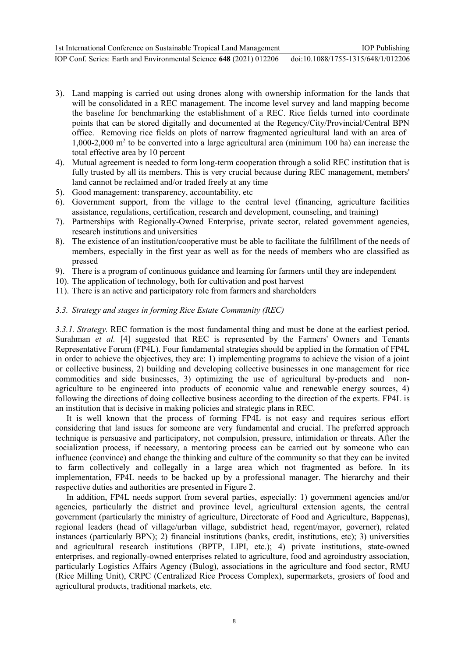- 3). Land mapping is carried out using drones along with ownership information for the lands that will be consolidated in a REC management. The income level survey and land mapping become the baseline for benchmarking the establishment of a REC. Rice fields turned into coordinate points that can be stored digitally and documented at the Regency/City/Provincial/Central BPN office. Removing rice fields on plots of narrow fragmented agricultural land with an area of 1,000-2,000  $\text{m}^2$  to be converted into a large agricultural area (minimum 100 ha) can increase the total effective area by 10 percent
- 4). Mutual agreement is needed to form long-term cooperation through a solid REC institution that is fully trusted by all its members. This is very crucial because during REC management, members' land cannot be reclaimed and/or traded freely at any time
- 5). Good management: transparency, accountability, etc
- 6). Government support, from the village to the central level (financing, agriculture facilities assistance, regulations, certification, research and development, counseling, and training)
- 7). Partnerships with Regionally-Owned Enterprise, private sector, related government agencies, research institutions and universities
- 8). The existence of an institution/cooperative must be able to facilitate the fulfillment of the needs of members, especially in the first year as well as for the needs of members who are classified as pressed
- 9). There is a program of continuous guidance and learning for farmers until they are independent
- 10). The application of technology, both for cultivation and post harvest
- 11). There is an active and participatory role from farmers and shareholders

### *3.3. Strategy and stages in forming Rice Estate Community (REC)*

*3.3.1. Strategy.* REC formation is the most fundamental thing and must be done at the earliest period. Surahman *et al.* [4] suggested that REC is represented by the Farmers' Owners and Tenants Representative Forum (FP4L). Four fundamental strategies should be applied in the formation of FP4L in order to achieve the objectives, they are: 1) implementing programs to achieve the vision of a joint or collective business, 2) building and developing collective businesses in one management for rice commodities and side businesses, 3) optimizing the use of agricultural by-products and nonagriculture to be engineered into products of economic value and renewable energy sources, 4) following the directions of doing collective business according to the direction of the experts. FP4L is an institution that is decisive in making policies and strategic plans in REC.

It is well known that the process of forming FP4L is not easy and requires serious effort considering that land issues for someone are very fundamental and crucial. The preferred approach technique is persuasive and participatory, not compulsion, pressure, intimidation or threats. After the socialization process, if necessary, a mentoring process can be carried out by someone who can influence (convince) and change the thinking and culture of the community so that they can be invited to farm collectively and collegally in a large area which not fragmented as before. In its implementation, FP4L needs to be backed up by a professional manager. The hierarchy and their respective duties and authorities are presented in Figure 2.

In addition, FP4L needs support from several parties, especially: 1) government agencies and/or agencies, particularly the district and province level, agricultural extension agents, the central government (particularly the ministry of agriculture, Directorate of Food and Agriculture, Bappenas), regional leaders (head of village/urban village, subdistrict head, regent/mayor, governer), related instances (particularly BPN); 2) financial institutions (banks, credit, institutions, etc); 3) universities and agricultural research institutions (BPTP, LIPI, etc.); 4) private institutions, state-owned enterprises, and regionally-owned enterprises related to agriculture, food and agroindustry association, particularly Logistics Affairs Agency (Bulog), associations in the agriculture and food sector, RMU (Rice Milling Unit), CRPC (Centralized Rice Process Complex), supermarkets, grosiers of food and agricultural products, traditional markets, etc.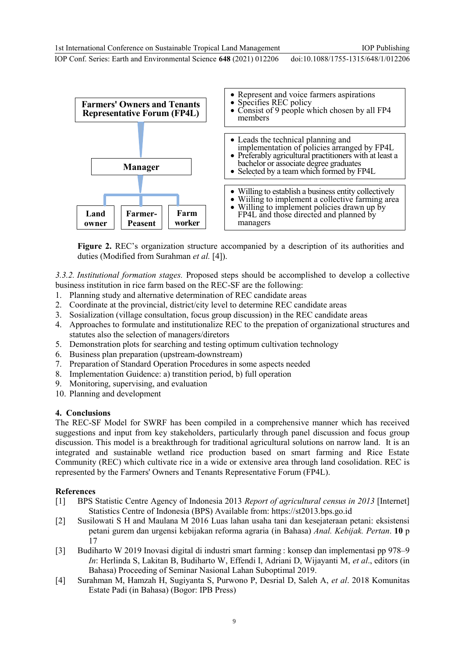IOP Publishing

IOP Conf. Series: Earth and Environmental Science **648** (2021) 012206 doi:10.1088/1755-1315/648/1/012206



**Figure 2.** REC's organization structure accompanied by a description of its authorities and duties (Modified from Surahman *et al.* [4]).

*3.3.2. Institutional formation stages.* Proposed steps should be accomplished to develop a collective business institution in rice farm based on the REC-SF are the following:

- 1. Planning study and alternative determination of REC candidate areas
- 2. Coordinate at the provincial, district/city level to determine REC candidate areas
- 3. Sosialization (village consultation, focus group discussion) in the REC candidate areas
- 4. Approaches to formulate and institutionalize REC to the prepation of organizational structures and statutes also the selection of managers/diretors
- 5. Demonstration plots for searching and testing optimum cultivation technology
- 6. Business plan preparation (upstream-downstream)
- 7. Preparation of Standard Operation Procedures in some aspects needed
- 8. Implementation Guidence: a) transtition period, b) full operation
- 9. Monitoring, supervising, and evaluation
- 10. Planning and development

# **4. Conclusions**

The REC-SF Model for SWRF has been compiled in a comprehensive manner which has received suggestions and input from key stakeholders, particularly through panel discussion and focus group discussion. This model is a breakthrough for traditional agricultural solutions on narrow land. It is an integrated and sustainable wetland rice production based on smart farming and Rice Estate Community (REC) which cultivate rice in a wide or extensive area through land cosolidation. REC is represented by the Farmers' Owners and Tenants Representative Forum (FP4L).

# **References**

- [1] BPS Statistic Centre Agency of Indonesia 2013 *Report of agricultural census in 2013* [Internet] Statistics Centre of Indonesia (BPS) Available from: https://st2013.bps.go.id
- [2] Susilowati S H and Maulana M 2016 Luas lahan usaha tani dan kesejateraan petani: eksistensi petani gurem dan urgensi kebijakan reforma agraria (in Bahasa) *Anal. Kebijak. Pertan*. **10** p 17
- [3] Budiharto W 2019 Inovasi digital di industri smart farming : konsep dan implementasi pp 978–9 *In*: Herlinda S, Lakitan B, Budiharto W, Effendi I, Adriani D, Wijayanti M, *et al*., editors (in Bahasa) Proceeding of Seminar Nasional Lahan Suboptimal 2019.
- [4] Surahman M, Hamzah H, Sugiyanta S, Purwono P, Desrial D, Saleh A, *et al*. 2018 Komunitas Estate Padi (in Bahasa) (Bogor: IPB Press)